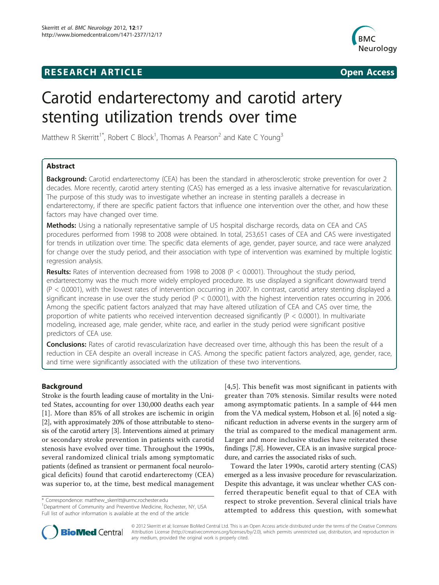# **RESEARCH ARTICLE Example 2008 CONSIDERING CONSIDERING CONSIDERING CONSIDERING CONSIDERING CONSIDERING CONSIDERING CONSIDERING CONSIDERING CONSIDERING CONSIDERING CONSIDERING CONSIDERING CONSIDERING CONSIDERING CONSIDE**



# Carotid endarterectomy and carotid artery stenting utilization trends over time

Matthew R Skerritt<sup>1\*</sup>, Robert C Block<sup>1</sup>, Thomas A Pearson<sup>2</sup> and Kate C Young<sup>3</sup>

# Abstract

**Background:** Carotid endarterectomy (CEA) has been the standard in atherosclerotic stroke prevention for over 2 decades. More recently, carotid artery stenting (CAS) has emerged as a less invasive alternative for revascularization. The purpose of this study was to investigate whether an increase in stenting parallels a decrease in endarterectomy, if there are specific patient factors that influence one intervention over the other, and how these factors may have changed over time.

Methods: Using a nationally representative sample of US hospital discharge records, data on CEA and CAS procedures performed from 1998 to 2008 were obtained. In total, 253,651 cases of CEA and CAS were investigated for trends in utilization over time. The specific data elements of age, gender, payer source, and race were analyzed for change over the study period, and their association with type of intervention was examined by multiple logistic regression analysis.

**Results:** Rates of intervention decreased from 1998 to 2008 ( $P < 0.0001$ ). Throughout the study period, endarterectomy was the much more widely employed procedure. Its use displayed a significant downward trend (P < 0.0001), with the lowest rates of intervention occurring in 2007. In contrast, carotid artery stenting displayed a significant increase in use over the study period ( $P < 0.0001$ ), with the highest intervention rates occurring in 2006. Among the specific patient factors analyzed that may have altered utilization of CEA and CAS over time, the proportion of white patients who received intervention decreased significantly (P < 0.0001). In multivariate modeling, increased age, male gender, white race, and earlier in the study period were significant positive predictors of CEA use.

Conclusions: Rates of carotid revascularization have decreased over time, although this has been the result of a reduction in CEA despite an overall increase in CAS. Among the specific patient factors analyzed, age, gender, race, and time were significantly associated with the utilization of these two interventions.

# Background

Stroke is the fourth leading cause of mortality in the United States, accounting for over 130,000 deaths each year [[1](#page-5-0)]. More than 85% of all strokes are ischemic in origin [[2\]](#page-5-0), with approximately 20% of those attributable to stenosis of the carotid artery [\[3\]](#page-5-0). Interventions aimed at primary or secondary stroke prevention in patients with carotid stenosis have evolved over time. Throughout the 1990s, several randomized clinical trials among symptomatic patients (defined as transient or permanent focal neurological deficits) found that carotid endarterectomy (CEA) was superior to, at the time, best medical management

\* Correspondence: [matthew\\_skerritt@urmc.rochester.edu](mailto:matthew_skerritt@urmc.rochester.edu)

<sup>1</sup>Department of Community and Preventive Medicine, Rochester, NY, USA Full list of author information is available at the end of the article

[[4,5\]](#page-5-0). This benefit was most significant in patients with greater than 70% stenosis. Similar results were noted among asymptomatic patients. In a sample of 444 men from the VA medical system, Hobson et al. [[6](#page-5-0)] noted a significant reduction in adverse events in the surgery arm of the trial as compared to the medical management arm. Larger and more inclusive studies have reiterated these findings [\[7,8\]](#page-5-0). However, CEA is an invasive surgical procedure, and carries the associated risks of such.

Toward the later 1990s, carotid artery stenting (CAS) emerged as a less invasive procedure for revascularization. Despite this advantage, it was unclear whether CAS conferred therapeutic benefit equal to that of CEA with respect to stroke prevention. Several clinical trials have attempted to address this question, with somewhat



© 2012 Skerritt et al; licensee BioMed Central Ltd. This is an Open Access article distributed under the terms of the Creative Commons Attribution License [\(http://creativecommons.org/licenses/by/2.0](http://creativecommons.org/licenses/by/2.0)), which permits unrestricted use, distribution, and reproduction in any medium, provided the original work is properly cited.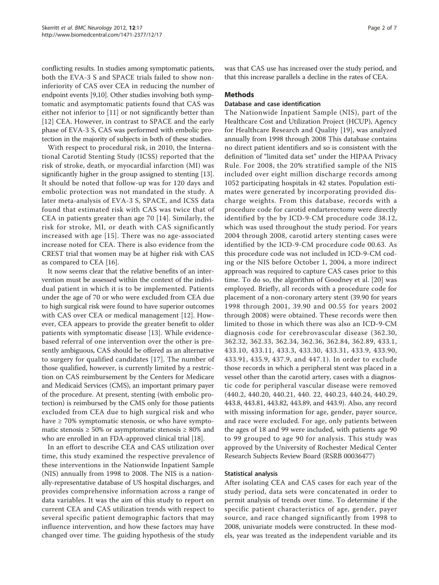conflicting results. In studies among symptomatic patients, both the EVA-3 S and SPACE trials failed to show noninferiority of CAS over CEA in reducing the number of endpoint events [[9,10\]](#page-5-0). Other studies involving both symptomatic and asymptomatic patients found that CAS was either not inferior to [\[11](#page-5-0)] or not significantly better than [[12](#page-5-0)] CEA. However, in contrast to SPACE and the early phase of EVA-3 S, CAS was performed with embolic protection in the majority of subjects in both of these studies.

With respect to procedural risk, in 2010, the International Carotid Stenting Study (ICSS) reported that the risk of stroke, death, or myocardial infarction (MI) was significantly higher in the group assigned to stenting [[13](#page-5-0)]. It should be noted that follow-up was for 120 days and embolic protection was not mandated in the study. A later meta-analysis of EVA-3 S, SPACE, and ICSS data found that estimated risk with CAS was twice that of CEA in patients greater than age 70 [[14\]](#page-5-0). Similarly, the risk for stroke, MI, or death with CAS significantly increased with age [[15\]](#page-5-0). There was no age-associated increase noted for CEA. There is also evidence from the CREST trial that women may be at higher risk with CAS as compared to CEA [[16](#page-5-0)].

It now seems clear that the relative benefits of an intervention must be assessed within the context of the individual patient in which it is to be implemented. Patients under the age of 70 or who were excluded from CEA due to high surgical risk were found to have superior outcomes with CAS over CEA or medical management [[12\]](#page-5-0). However, CEA appears to provide the greater benefit to older patients with symptomatic disease [[13\]](#page-5-0). While evidencebased referral of one intervention over the other is presently ambiguous, CAS should be offered as an alternative to surgery for qualified candidates [[17](#page-5-0)]. The number of those qualified, however, is currently limited by a restriction on CAS reimbursement by the Centers for Medicare and Medicaid Services (CMS), an important primary payer of the procedure. At present, stenting (with embolic protection) is reimbursed by the CMS only for those patients excluded from CEA due to high surgical risk and who have  $\geq 70\%$  symptomatic stenosis, or who have symptomatic stenosis  $\geq 50\%$  or asymptomatic stenosis  $\geq 80\%$  and who are enrolled in an FDA-approved clinical trial [\[18\]](#page-5-0).

In an effort to describe CEA and CAS utilization over time, this study examined the respective prevalence of these interventions in the Nationwide Inpatient Sample (NIS) annually from 1998 to 2008. The NIS is a nationally-representative database of US hospital discharges, and provides comprehensive information across a range of data variables. It was the aim of this study to report on current CEA and CAS utilization trends with respect to several specific patient demographic factors that may influence intervention, and how these factors may have changed over time. The guiding hypothesis of the study was that CAS use has increased over the study period, and that this increase parallels a decline in the rates of CEA.

## **Methods**

## Database and case identification

The Nationwide Inpatient Sample (NIS), part of the Healthcare Cost and Utilization Project (HCUP), Agency for Healthcare Research and Quality [\[19](#page-5-0)], was analyzed annually from 1998 through 2008 This database contains no direct patient identifiers and so is consistent with the definition of "limited data set" under the HIPAA Privacy Rule. For 2008, the 20% stratified sample of the NIS included over eight million discharge records among 1052 participating hospitals in 42 states. Population estimates were generated by incorporating provided discharge weights. From this database, records with a procedure code for carotid endarterectomy were directly identified by the by ICD-9-CM procedure code 38.12, which was used throughout the study period. For years 2004 through 2008, carotid artery stenting cases were identified by the ICD-9-CM procedure code 00.63. As this procedure code was not included in ICD-9-CM coding or the NIS before October 1, 2004, a more indirect approach was required to capture CAS cases prior to this time. To do so, the algorithm of Goodney et al. [\[20](#page-5-0)] was employed. Briefly, all records with a procedure code for placement of a non-coronary artery stent (39.90 for years 1998 through 2001, 39.90 and 00.55 for years 2002 through 2008) were obtained. These records were then limited to those in which there was also an ICD-9-CM diagnosis code for cerebrovascular disease (362.30, 362.32, 362.33, 362.34, 362.36, 362.84, 362.89, 433.1, 433.10, 433.11, 433.3, 433.30, 433.31, 433.9, 433.90, 433.91, 435.9, 437.9, and 447.1). In order to exclude those records in which a peripheral stent was placed in a vessel other than the carotid artery, cases with a diagnostic code for peripheral vascular disease were removed (440.2, 440.20, 440.21, 440. 22, 440.23, 440.24, 440.29, 443.8, 443.81, 443.82, 443.89, and 443.9). Also, any record with missing information for age, gender, payer source, and race were excluded. For age, only patients between the ages of 18 and 99 were included, with patients age 90 to 99 grouped to age 90 for analysis. This study was approved by the University of Rochester Medical Center Research Subjects Review Board (RSRB 00036477)

# Statistical analysis

After isolating CEA and CAS cases for each year of the study period, data sets were concatenated in order to permit analysis of trends over time. To determine if the specific patient characteristics of age, gender, payer source, and race changed significantly from 1998 to 2008, univariate models were constructed. In these models, year was treated as the independent variable and its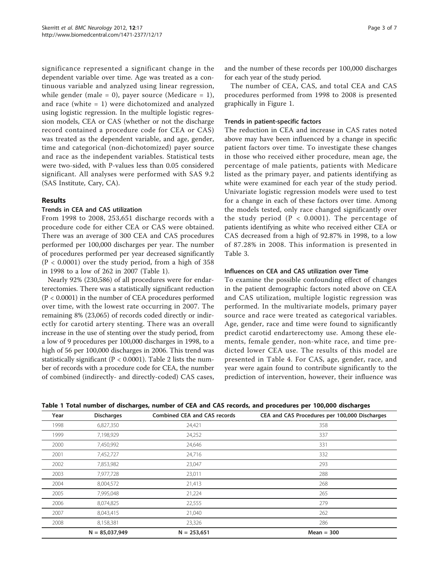significance represented a significant change in the dependent variable over time. Age was treated as a continuous variable and analyzed using linear regression, while gender (male = 0), payer source (Medicare = 1), and race (white = 1) were dichotomized and analyzed using logistic regression. In the multiple logistic regression models, CEA or CAS (whether or not the discharge record contained a procedure code for CEA or CAS) was treated as the dependent variable, and age, gender, time and categorical (non-dichotomized) payer source and race as the independent variables. Statistical tests were two-sided, with P-values less than 0.05 considered significant. All analyses were performed with SAS 9.2 (SAS Institute, Cary, CA).

# Results

# Trends in CEA and CAS utilization

From 1998 to 2008, 253,651 discharge records with a procedure code for either CEA or CAS were obtained. There was an average of 300 CEA and CAS procedures performed per 100,000 discharges per year. The number of procedures performed per year decreased significantly  $(P < 0.0001)$  over the study period, from a high of 358 in 1998 to a low of 262 in 2007 (Table 1).

Nearly 92% (230,586) of all procedures were for endarterectomies. There was a statistically significant reduction (P < 0.0001) in the number of CEA procedures performed over time, with the lowest rate occurring in 2007. The remaining 8% (23,065) of records coded directly or indirectly for carotid artery stenting. There was an overall increase in the use of stenting over the study period, from a low of 9 procedures per 100,000 discharges in 1998, to a high of 56 per 100,000 discharges in 2006. This trend was statistically significant ( $P < 0.0001$ ). Table [2](#page-3-0) lists the number of records with a procedure code for CEA, the number of combined (indirectly- and directly-coded) CAS cases, and the number of these records per 100,000 discharges for each year of the study period.

The number of CEA, CAS, and total CEA and CAS procedures performed from 1998 to 2008 is presented graphically in Figure [1.](#page-3-0)

# Trends in patient-specific factors

The reduction in CEA and increase in CAS rates noted above may have been influenced by a change in specific patient factors over time. To investigate these changes in those who received either procedure, mean age, the percentage of male patients, patients with Medicare listed as the primary payer, and patients identifying as white were examined for each year of the study period. Univariate logistic regression models were used to test for a change in each of these factors over time. Among the models tested, only race changed significantly over the study period ( $P < 0.0001$ ). The percentage of patients identifying as white who received either CEA or CAS decreased from a high of 92.87% in 1998, to a low of 87.28% in 2008. This information is presented in Table [3.](#page-4-0)

# Influences on CEA and CAS utilization over Time

To examine the possible confounding effect of changes in the patient demographic factors noted above on CEA and CAS utilization, multiple logistic regression was performed. In the multivariate models, primary payer source and race were treated as categorical variables. Age, gender, race and time were found to significantly predict carotid endarterectomy use. Among these elements, female gender, non-white race, and time predicted lower CEA use. The results of this model are presented in Table [4.](#page-4-0) For CAS, age, gender, race, and year were again found to contribute significantly to the prediction of intervention, however, their influence was

|  |  |  | Table 1 Total number of discharges, number of CEA and CAS records, and procedures per 100,000 discharges |  |  |  |  |  |  |  |  |
|--|--|--|----------------------------------------------------------------------------------------------------------|--|--|--|--|--|--|--|--|
|--|--|--|----------------------------------------------------------------------------------------------------------|--|--|--|--|--|--|--|--|

| Year | <b>Discharges</b> | <b>Combined CEA and CAS records</b> | CEA and CAS Procedures per 100,000 Discharges |
|------|-------------------|-------------------------------------|-----------------------------------------------|
| 1998 | 6,827,350         | 24,421                              | 358                                           |
| 1999 | 7,198,929         | 24,252                              | 337                                           |
| 2000 | 7,450,992         | 24,646                              | 331                                           |
| 2001 | 7,452,727         | 24,716                              | 332                                           |
| 2002 | 7,853,982         | 23,047                              | 293                                           |
| 2003 | 7,977,728         | 23,011                              | 288                                           |
| 2004 | 8,004,572         | 21,413                              | 268                                           |
| 2005 | 7,995,048         | 21,224                              | 265                                           |
| 2006 | 8,074,825         | 22,555                              | 279                                           |
| 2007 | 8,043,415         | 21,040                              | 262                                           |
| 2008 | 8,158,381         | 23,326                              | 286                                           |
|      | $N = 85,037,949$  | $N = 253,651$                       | $Mean = 300$                                  |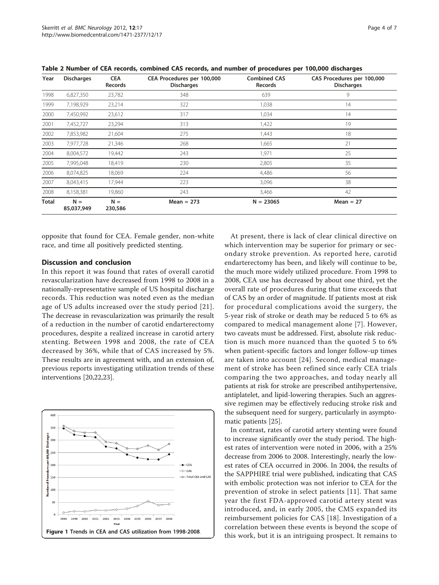| Year  | <b>Discharges</b>   | <b>CEA</b><br><b>Records</b> | CEA Procedures per 100,000<br><b>Discharges</b> | <b>Combined CAS</b><br>Records | CAS Procedures per 100,000<br><b>Discharges</b> |
|-------|---------------------|------------------------------|-------------------------------------------------|--------------------------------|-------------------------------------------------|
| 1998  | 6,827,350           | 23,782                       | 348                                             | 639                            | 9                                               |
| 1999  | 7,198,929           | 23,214                       | 322                                             | 1,038                          | 14                                              |
| 2000  | 7,450,992           | 23,612                       | 317                                             | 1,034                          | 14                                              |
| 2001  | 7,452,727           | 23,294                       | 313                                             | 1,422                          | 19                                              |
| 2002  | 7,853,982           | 21,604                       | 275                                             | 1,443                          | 18                                              |
| 2003  | 7,977,728           | 21,346                       | 268                                             | 1,665                          | 21                                              |
| 2004  | 8,004,572           | 19,442                       | 243                                             | 1,971                          | 25                                              |
| 2005  | 7,995,048           | 18,419                       | 230                                             | 2,805                          | 35                                              |
| 2006  | 8,074,825           | 18,069                       | 224                                             | 4,486                          | 56                                              |
| 2007  | 8,043,415           | 17,944                       | 223                                             | 3,096                          | 38                                              |
| 2008  | 8,158,381           | 19,860                       | 243                                             | 3,466                          | 42                                              |
| Total | $N =$<br>85,037,949 | $N =$<br>230,586             | Mean $= 273$                                    | $N = 23065$                    | $Mean = 27$                                     |

<span id="page-3-0"></span>Table 2 Number of CEA records, combined CAS records, and number of procedures per 100,000 discharges

opposite that found for CEA. Female gender, non-white race, and time all positively predicted stenting.

#### Discussion and conclusion

In this report it was found that rates of overall carotid revascularization have decreased from 1998 to 2008 in a nationally-representative sample of US hospital discharge records. This reduction was noted even as the median age of US adults increased over the study period [[21\]](#page-5-0). The decrease in revascularization was primarily the result of a reduction in the number of carotid endarterectomy procedures, despite a realized increase in carotid artery stenting. Between 1998 and 2008, the rate of CEA decreased by 36%, while that of CAS increased by 5%. These results are in agreement with, and an extension of, previous reports investigating utilization trends of these interventions [[20,](#page-5-0)[22,23](#page-6-0)].



At present, there is lack of clear clinical directive on which intervention may be superior for primary or secondary stroke prevention. As reported here, carotid endarterectomy has been, and likely will continue to be, the much more widely utilized procedure. From 1998 to 2008, CEA use has decreased by about one third, yet the overall rate of procedures during that time exceeds that of CAS by an order of magnitude. If patients most at risk for procedural complications avoid the surgery, the 5-year risk of stroke or death may be reduced 5 to 6% as compared to medical management alone [[7\]](#page-5-0). However, two caveats must be addressed. First, absolute risk reduction is much more nuanced than the quoted 5 to 6% when patient-specific factors and longer follow-up times are taken into account [[24](#page-6-0)]. Second, medical management of stroke has been refined since early CEA trials comparing the two approaches, and today nearly all patients at risk for stroke are prescribed antihypertensive, antiplatelet, and lipid-lowering therapies. Such an aggressive regimen may be effectively reducing stroke risk and the subsequent need for surgery, particularly in asymptomatic patients [[25\]](#page-6-0).

In contrast, rates of carotid artery stenting were found to increase significantly over the study period. The highest rates of intervention were noted in 2006, with a 25% decrease from 2006 to 2008. Interestingly, nearly the lowest rates of CEA occurred in 2006. In 2004, the results of the SAPPHIRE trial were published, indicating that CAS with embolic protection was not inferior to CEA for the prevention of stroke in select patients [[11\]](#page-5-0). That same year the first FDA-approved carotid artery stent was introduced, and, in early 2005, the CMS expanded its reimbursement policies for CAS [[18](#page-5-0)]. Investigation of a correlation between these events is beyond the scope of this work, but it is an intriguing prospect. It remains to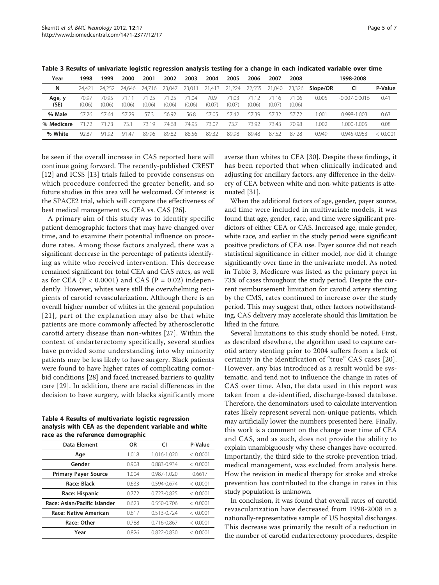| Year<br>1999<br>2003<br>2004<br>2005<br>1998<br>2000<br>2002<br>2006<br>2008<br>1998-2008<br>2001<br>2007<br>N<br>23,011<br>24.421<br>23.047<br>21,224<br>22,555<br>23.326<br>24.716<br>21,413<br>21,040<br>24.252<br>Slope/OR<br>24.646<br>CI<br>$-0.007 - 0.0016$<br>0.41<br>Age, y<br>70.97<br>70.9<br>0.005<br>71.03<br>7095<br>$\Omega$<br>71.06<br>16<br>71 L<br>(SE)<br>(0.07)<br>(0.06)<br>(0.06)<br>(0.06)<br>(0.07)<br>(0.06)<br>(0.06)<br>(0.06)<br>(0.06)<br>(0.07)<br>(0.06)<br>% Male<br>57.72<br>1.001<br>57.26<br>57 29<br>57.3<br>56.92<br>56.8<br>57.05<br>57.39<br>57.32<br>$0.998 - 1.003$<br>0.63<br>57.64<br>57.42<br>% Medicare<br>1.002<br>73.19<br>74.68<br>74.95<br>73.07<br>73.7<br>73.92<br>$.000 - 1.005$<br>73.1<br>7343<br>70.98<br>0.08<br>71 73<br>71 72<br>% White<br>8982<br>8856<br>89.32<br>89.98<br>87.28<br>9192<br>89.96<br>$0.945 - 0.953$<br>< 0.0001<br>92.87<br>Q <sub>1</sub><br>89.48<br>87.52<br>0.949<br>.47 |  |  |  |  |  |  |  |         |
|--------------------------------------------------------------------------------------------------------------------------------------------------------------------------------------------------------------------------------------------------------------------------------------------------------------------------------------------------------------------------------------------------------------------------------------------------------------------------------------------------------------------------------------------------------------------------------------------------------------------------------------------------------------------------------------------------------------------------------------------------------------------------------------------------------------------------------------------------------------------------------------------------------------------------------------------------------------|--|--|--|--|--|--|--|---------|
|                                                                                                                                                                                                                                                                                                                                                                                                                                                                                                                                                                                                                                                                                                                                                                                                                                                                                                                                                              |  |  |  |  |  |  |  |         |
|                                                                                                                                                                                                                                                                                                                                                                                                                                                                                                                                                                                                                                                                                                                                                                                                                                                                                                                                                              |  |  |  |  |  |  |  | P-Value |
|                                                                                                                                                                                                                                                                                                                                                                                                                                                                                                                                                                                                                                                                                                                                                                                                                                                                                                                                                              |  |  |  |  |  |  |  |         |
|                                                                                                                                                                                                                                                                                                                                                                                                                                                                                                                                                                                                                                                                                                                                                                                                                                                                                                                                                              |  |  |  |  |  |  |  |         |
|                                                                                                                                                                                                                                                                                                                                                                                                                                                                                                                                                                                                                                                                                                                                                                                                                                                                                                                                                              |  |  |  |  |  |  |  |         |
|                                                                                                                                                                                                                                                                                                                                                                                                                                                                                                                                                                                                                                                                                                                                                                                                                                                                                                                                                              |  |  |  |  |  |  |  |         |

<span id="page-4-0"></span>Table 3 Results of univariate logistic regression analysis testing for a change in each indicated variable over time

be seen if the overall increase in CAS reported here will continue going forward. The recently-published CREST [[12](#page-5-0)] and ICSS [[13\]](#page-5-0) trials failed to provide consensus on which procedure conferred the greater benefit, and so future studies in this area will be welcomed. Of interest is the SPACE2 trial, which will compare the effectiveness of best medical management vs. CEA vs. CAS [\[26](#page-6-0)].

A primary aim of this study was to identify specific patient demographic factors that may have changed over time, and to examine their potential influence on procedure rates. Among those factors analyzed, there was a significant decrease in the percentage of patients identifying as white who received intervention. This decrease remained significant for total CEA and CAS rates, as well as for CEA ( $P < 0.0001$ ) and CAS ( $P = 0.02$ ) independently. However, whites were still the overwhelming recipients of carotid revascularization. Although there is an overall higher number of whites in the general population [[21](#page-5-0)], part of the explanation may also be that white patients are more commonly affected by atherosclerotic carotid artery disease than non-whites [[27\]](#page-6-0). Within the context of endarterectomy specifically, several studies have provided some understanding into why minority patients may be less likely to have surgery. Black patients were found to have higher rates of complicating comorbid conditions [[28](#page-6-0)] and faced increased barriers to quality care [\[29\]](#page-6-0). In addition, there are racial differences in the decision to have surgery, with blacks significantly more

Table 4 Results of multivariate logistic regression analysis with CEA as the dependent variable and white race as the reference demographic

| Data Element                 | <b>OR</b> | CI              | P-Value  |
|------------------------------|-----------|-----------------|----------|
| Age                          | 1.018     | 1.016-1.020     | < 0.0001 |
| Gender                       | 0.908     | 0.883-0.934     | < 0.0001 |
| <b>Primary Payer Source</b>  | 1.004     | 0.987-1.020     | 0.6617   |
| Race: Black                  | 0.633     | 0.594-0.674     | < 0.0001 |
| Race: Hispanic               | 0.772     | 0.723-0.825     | < 0.0001 |
| Race: Asian/Pacific Islander | 0.623     | $0.550 - 0.706$ | < 0.0001 |
| Race: Native American        | 0.617     | $0.513 - 0.724$ | < 0.0001 |
| Race: Other                  | 0.788     | 0.716-0.867     | < 0.0001 |
| Year                         | 0.826     | 0.822-0.830     | < 0.0001 |

averse than whites to CEA [\[30](#page-6-0)]. Despite these findings, it has been reported that when clinically indicated and adjusting for ancillary factors, any difference in the delivery of CEA between white and non-white patients is attenuated [\[31](#page-6-0)].

When the additional factors of age, gender, payer source, and time were included in multivariate models, it was found that age, gender, race, and time were significant predictors of either CEA or CAS. Increased age, male gender, white race, and earlier in the study period were significant positive predictors of CEA use. Payer source did not reach statistical significance in either model, nor did it change significantly over time in the univariate model. As noted in Table 3, Medicare was listed as the primary payer in 73% of cases throughout the study period. Despite the current reimbursement limitation for carotid artery stenting by the CMS, rates continued to increase over the study period. This may suggest that, other factors notwithstanding, CAS delivery may accelerate should this limitation be lifted in the future.

Several limitations to this study should be noted. First, as described elsewhere, the algorithm used to capture carotid artery stenting prior to 2004 suffers from a lack of certainty in the identification of "true" CAS cases [[20](#page-5-0)]. However, any bias introduced as a result would be systematic, and tend not to influence the change in rates of CAS over time. Also, the data used in this report was taken from a de-identified, discharge-based database. Therefore, the denominators used to calculate intervention rates likely represent several non-unique patients, which may artificially lower the numbers presented here. Finally, this work is a comment on the change over time of CEA and CAS, and as such, does not provide the ability to explain unambiguously why these changes have occurred. Importantly, the third side to the stroke prevention triad, medical management, was excluded from analysis here. How the revision in medical therapy for stroke and stroke prevention has contributed to the change in rates in this study population is unknown.

In conclusion, it was found that overall rates of carotid revascularization have decreased from 1998-2008 in a nationally-representative sample of US hospital discharges. This decrease was primarily the result of a reduction in the number of carotid endarterectomy procedures, despite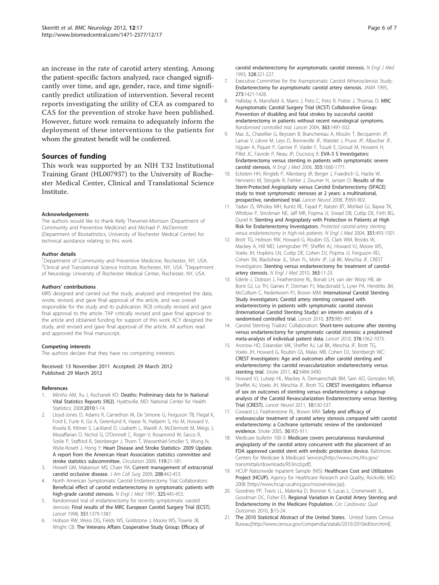<span id="page-5-0"></span>an increase in the rate of carotid artery stenting. Among the patient-specific factors analyzed, race changed significantly over time, and age, gender, race, and time significantly predict utilization of intervention. Several recent reports investigating the utility of CEA as compared to CAS for the prevention of stroke have been published. However, future work remains to adequately inform the deployment of these interventions to the patients for whom the greatest benefit will be conferred.

# Sources of funding

This work was supported by an NIH T32 Institutional Training Grant (HL007937) to the University of Rochester Medical Center, Clinical and Translational Science Institute.

#### Acknowledgements

The authors would like to thank Kelly Thevenet-Morrison (Department of Community and Preventive Medicine) and Michael P. McDermott (Department of Biostatitsitics, University of Rochester Medical Center) for technical assistance relating to this work.

#### Author details

<sup>1</sup>Department of Community and Preventive Medicine, Rochester, NY, USA. <sup>2</sup>Clinical and Translational Science Institute, Rochester, NY, USA. <sup>3</sup>Department of Neurology University of Rochester Medical Center, Rochester, NY, USA.

#### Authors' contributions

MRS designed and carried out the study, analyzed and interpreted the data, wrote, revised, and gave final approval of the article, and was overall responsible for the study and its publication. RCB critically revised and gave final approval to the article. TAP critically revised and gave final approval to the article and obtained funding for support of this work. KCY designed the study, and revised and gave final approval of the article. All authors read and approved the final manuscript.

#### Competing interests

The authors declare that they have no competing interests.

Received: 13 November 2011 Accepted: 29 March 2012 Published: 29 March 2012

#### References

- 1. Miniño AM, Xu J, Kochanek KD: Deaths: Preliminary data for In National Vital Statistics Reports 59(2). Hyattsville, MD: National Center for Health Statistics; 2008:2010:1-14.
- 2. Lloyd-Jones D, Adams R, Carnethon M, De Simone G, Ferguson TB, Flegal K, Ford E, Furie K, Go A, Greenlund K, Haase N, Hailpern S, Ho M, Howard V, Kissela B, Kittner S, Lackland D, Lisabeth L, Marelli A, McDermott M, Meigs J, Mozaffarian D, Nichol G, O'Donnell C, Roger V, Rosamond W, Sacco R, Sorlie P, Stafford R, Steinberger J, Thom T, Wasserthiel-Smoller S, Wong N, Wylie-Rosett J, Hong Y: Heart Disease and Stroke Statistics- 2009 Update. A report from the American Heart Association statistics committee and stroke statistics subcommittee. Circulation 2009, 119:21-181.
- 3. Howell GM, Makaroun MS, Chaer RA: [Current management of extracranial](http://www.ncbi.nlm.nih.gov/pubmed/19318007?dopt=Abstract) [carotid occlusive disease.](http://www.ncbi.nlm.nih.gov/pubmed/19318007?dopt=Abstract) J Am Coll Surg 2009, 208:442-453.
- 4. North American Symptomatic Carotid Endarterectomy Trial Collaborators: [Beneficial effect of carotid endarterectomy in symptomatic patients with](http://www.ncbi.nlm.nih.gov/pubmed/1852179?dopt=Abstract) [high-grade carotid stenosis.](http://www.ncbi.nlm.nih.gov/pubmed/1852179?dopt=Abstract) N Engl J Med 1991, 325:445-453.
- 5. Randomised trial of endarterectomy for recently symptomatic carotid stenosis: [Final results of the MRC European Carotid Surgery Trial \(ECST\).](http://www.ncbi.nlm.nih.gov/pubmed/9593407?dopt=Abstract) Lancet 1998, 351:1379-1387.
- Hobson RW, Weiss DG, Fields WS, Goldstone J, Moore WS, Towne JB, Wright CB: [The Veterans Affairs Cooperative Study Group: Efficacy of](http://www.ncbi.nlm.nih.gov/pubmed/8418401?dopt=Abstract)
- 7. Executive Committee for the Asymptomatic Carotid Atherosclerosis Study: [Endarterectomy for asymptomatic carotid artery stenosis.](http://www.ncbi.nlm.nih.gov/pubmed/7723155?dopt=Abstract) JAMA 1995, 273:1421-1428.
- Halliday A, Mansfield A, Marro J, Peto C, Peto R, Potter J, Thomas D: MRC Asymptomatic Carotid Surgery Trial (ACST) Collaborative Group: Prevention of disabling and fatal strokes by successful carotid endarterectomy in patients without recent neurological symptoms. Randomised controlled trial. Lancet 2004, 363:1491-502.
- 9. Mas JL, Chatellier G, Beyssen B, Branchereau A, Moulin T, Becquemin JP, Larrue V, Lièvre M, Leys D, Bonneville JF, Watelet J, Pruvo JP, Albucher JF, Viguier A, Piquet P, Garnier P, Viader F, Touzé E, Giroud M, Hosseini H, Pillet JC, Favrole P, Neau JP, Ducrocq X: [EVA-3 S Investigators:](http://www.ncbi.nlm.nih.gov/pubmed/17050890?dopt=Abstract) [Endarterectomy versus stenting in patients with symptomatic severe](http://www.ncbi.nlm.nih.gov/pubmed/17050890?dopt=Abstract) [carotid stenosis.](http://www.ncbi.nlm.nih.gov/pubmed/17050890?dopt=Abstract) N Engl J Med 2006, 355:1660-1771.
- 10. Eckstein HH, Ringleb P, Allenberg JR, Berger J, Fraedrich G, Hacke W, Hennerici M, Stingele R, Fiehler J, Zeumer H, Jansen O: [Results of the](http://www.ncbi.nlm.nih.gov/pubmed/18774746?dopt=Abstract) [Stent-Protected Angioplasty versus Carotid Endarterectomy \(SPACE\)](http://www.ncbi.nlm.nih.gov/pubmed/18774746?dopt=Abstract) [study to treat symptomatic stenoses at 2 years: a multinational,](http://www.ncbi.nlm.nih.gov/pubmed/18774746?dopt=Abstract) [prospective, randomised trial.](http://www.ncbi.nlm.nih.gov/pubmed/18774746?dopt=Abstract) Lancet Neurol 2008, 7:893-902.
- 11. Yadav JS, Wholey MH, Kuntz RE, Fayad P, Katzen BT, Mishkel GJ, Bajwa TK, Whitlow P, Strickman NE, Jaff MR, Popma JJ, Snead DB, Cutlip DE, Firth BG, Ouriel K: Stenting and Angioplasty with Protection in Patients at High Risk for Endarterectomy Investigators. Protected carotid-artery stenting versus endarterectomy in high-risk patients. N Engl J Med 2004, 351:493-1501.
- 12. Brott TG, Hobson RW, Howard G, Roubin GS, Clark WM, Brooks W, Mackey A, Hill MD, Leimgruber PP, Sheffet AJ, Howard VJ, Moore WS, Voeks JH, Hopkins LN, Cutlip DE, Cohen DJ, Popma JJ, Ferguson RD, Cohen SN, Blackshear JL, Silver FL, Mohr JP, Lal BK, Meschia JF, CREST Investigators: [Stenting versus endarterectomy for treatment of carotid](http://www.ncbi.nlm.nih.gov/pubmed/20505173?dopt=Abstract)[artery stenosis.](http://www.ncbi.nlm.nih.gov/pubmed/20505173?dopt=Abstract) N Engl J Med 2010, 363:11-23.
- 13. Ederle J, Dobson J, Featherstone RL, Bonati LH, van der Worp HB, de Borst GJ, Lo TH, Gaines P, Dorman PJ, Macdonald S, Lyrer PA, Hendriks JM, McCollum C, Nederkoorn PJ, Brown MM: [International Carotid Stenting](http://www.ncbi.nlm.nih.gov/pubmed/20189239?dopt=Abstract) [Study investigators: Carotid artery stenting compared with](http://www.ncbi.nlm.nih.gov/pubmed/20189239?dopt=Abstract) [endarterectomy in patients with symptomatic carotid stenosis](http://www.ncbi.nlm.nih.gov/pubmed/20189239?dopt=Abstract) [\(International Carotid Stenting Study\): an interim analysis of a](http://www.ncbi.nlm.nih.gov/pubmed/20189239?dopt=Abstract) [randomised controlled trial.](http://www.ncbi.nlm.nih.gov/pubmed/20189239?dopt=Abstract) Lancet 2010, 375:985-997.
- 14. Carotid Stenting Trialists' Collaboration: [Short-term outcome after stenting](http://www.ncbi.nlm.nih.gov/pubmed/20832852?dopt=Abstract) [versus endarterectomy for symptomatic carotid stenosis: a preplanned](http://www.ncbi.nlm.nih.gov/pubmed/20832852?dopt=Abstract) [meta-analysis of individual patient data.](http://www.ncbi.nlm.nih.gov/pubmed/20832852?dopt=Abstract) Lancet 2010, 376:1062-1073.
- 15. Aronow HD, Eskandari MK, Sheffet AJ, Lal BK, Meschia JF, Brott TG, Voeks JH, Howard G, Roubin GS, Malas MB, Cohen DJ, Sternbergh WC: [CREST Investigators: Age and outcomes after carotid stenting and](http://www.ncbi.nlm.nih.gov/pubmed/21980205?dopt=Abstract) [endarterectomy: the carotid revascularization endarterectomy versus](http://www.ncbi.nlm.nih.gov/pubmed/21980205?dopt=Abstract) [stenting trial.](http://www.ncbi.nlm.nih.gov/pubmed/21980205?dopt=Abstract) Stroke 2011, 42:3484-3490.
- 16. Howard VJ, Lutsep HL, Mackey A, Demaerschalk BM, Sam AD, Gonzales NR, Sheffet AJ, Voeks JH, Meschia JF, Brott TG: [CREST investigators: Influence](http://www.ncbi.nlm.nih.gov/pubmed/21550314?dopt=Abstract) [of sex on outcomes of stenting versus endarterectomy: a subgroup](http://www.ncbi.nlm.nih.gov/pubmed/21550314?dopt=Abstract) [analysis of the Carotid Revascularization Endarterectomy versus Stenting](http://www.ncbi.nlm.nih.gov/pubmed/21550314?dopt=Abstract) [Trial \(CREST\).](http://www.ncbi.nlm.nih.gov/pubmed/21550314?dopt=Abstract) Lancet Neurol 2011, 10:530-537.
- 17. Coward LJ, Featherstone RL, Brown MM: [Safety and efficacy of](http://www.ncbi.nlm.nih.gov/pubmed/15746454?dopt=Abstract) [endovascular treatment of carotid artery stenosis compared with carotid](http://www.ncbi.nlm.nih.gov/pubmed/15746454?dopt=Abstract) [endarterectomy: a Cochrane systematic review of the randomized](http://www.ncbi.nlm.nih.gov/pubmed/15746454?dopt=Abstract) [evidence.](http://www.ncbi.nlm.nih.gov/pubmed/15746454?dopt=Abstract) Stroke 2005, 36:905-911.
- 18. Medicare bulletin 100-3: Medicare covers percutaneous transluminal angioplasty of the carotid artery concurrent with the placement of an FDA approved carotid stent with embolic protection device. Baltimore: Centers for Medicare & Medicaid Services;[[http://www.cms.hhs.gov/](http://www.cms.hhs.gov/transmittals/downloads/R53ncd.pdf) [transmittals/downloads/R53ncd.pdf](http://www.cms.hhs.gov/transmittals/downloads/R53ncd.pdf)].
- 19. HCUP Nationwide Inpatient Sample (NIS): Healthcare Cost and Utilization Project (HCUP). Agency for Healthcare Research and Quality, Rockville, MD; 2008 [\[http://www.hcup-us.ahrq.gov/nisoverview.jsp\]](http://www.hcup-us.ahrq.gov/nisoverview.jsp).
- 20. Goodney PP, Travis LL, Malenka D, Bronner K, Lucas L, Cronenwett JL, Goodman DC, Fisher ES: [Regional Variation in Carotid Artery Stenting and](http://www.ncbi.nlm.nih.gov/pubmed/20123667?dopt=Abstract) [Endarterectomy in the Medicare Population.](http://www.ncbi.nlm.nih.gov/pubmed/20123667?dopt=Abstract) Circ Cardiovasc Qual Outcomes 2010, 3:15-24.
- 21. The 2010 Statistical Abstract of the United States. United States Census Bureau;[\[http://www.census.gov/compendia/statab/2010/2010edition.html](http://www.census.gov/compendia/statab/2010/2010edition.html)].